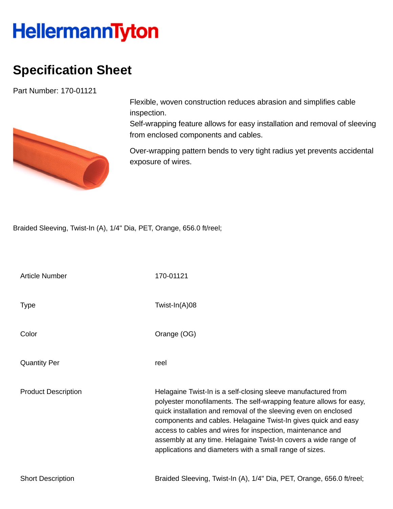## **HellermannTyton**

## **Specification Sheet**

Part Number: 170-01121



Flexible, woven construction reduces abrasion and simplifies cable inspection.

Self-wrapping feature allows for easy installation and removal of sleeving from enclosed components and cables.

Over-wrapping pattern bends to very tight radius yet prevents accidental exposure of wires.

Braided Sleeving, Twist-In (A), 1/4" Dia, PET, Orange, 656.0 ft/reel;

| <b>Article Number</b>      | 170-01121                                                                                                                                                                                                                                                                                                                                                                                                                                                             |
|----------------------------|-----------------------------------------------------------------------------------------------------------------------------------------------------------------------------------------------------------------------------------------------------------------------------------------------------------------------------------------------------------------------------------------------------------------------------------------------------------------------|
| <b>Type</b>                | Twist-In(A)08                                                                                                                                                                                                                                                                                                                                                                                                                                                         |
| Color                      | Orange (OG)                                                                                                                                                                                                                                                                                                                                                                                                                                                           |
| <b>Quantity Per</b>        | reel                                                                                                                                                                                                                                                                                                                                                                                                                                                                  |
| <b>Product Description</b> | Helagaine Twist-In is a self-closing sleeve manufactured from<br>polyester monofilaments. The self-wrapping feature allows for easy,<br>quick installation and removal of the sleeving even on enclosed<br>components and cables. Helagaine Twist-In gives quick and easy<br>access to cables and wires for inspection, maintenance and<br>assembly at any time. Helagaine Twist-In covers a wide range of<br>applications and diameters with a small range of sizes. |
| <b>Short Description</b>   | Braided Sleeving, Twist-In (A), 1/4" Dia, PET, Orange, 656.0 ft/reel;                                                                                                                                                                                                                                                                                                                                                                                                 |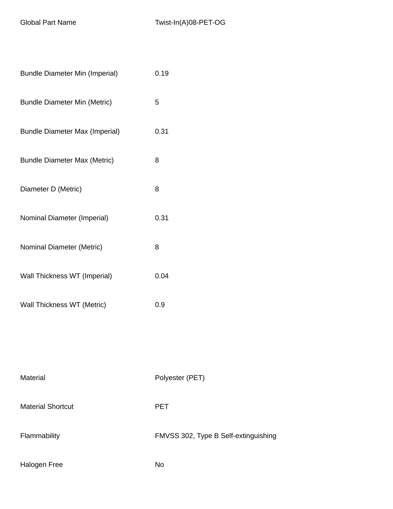| <b>Bundle Diameter Min (Imperial)</b> | 0.19                                 |
|---------------------------------------|--------------------------------------|
| <b>Bundle Diameter Min (Metric)</b>   | 5                                    |
| <b>Bundle Diameter Max (Imperial)</b> | 0.31                                 |
| <b>Bundle Diameter Max (Metric)</b>   | 8                                    |
| Diameter D (Metric)                   | 8                                    |
| Nominal Diameter (Imperial)           | 0.31                                 |
| Nominal Diameter (Metric)             | 8                                    |
| Wall Thickness WT (Imperial)          | 0.04                                 |
| Wall Thickness WT (Metric)            | 0.9                                  |
|                                       |                                      |
|                                       |                                      |
| Material                              | Polyester (PET)                      |
| <b>Material Shortcut</b>              | <b>PET</b>                           |
| Flammability                          | FMVSS 302, Type B Self-extinguishing |
|                                       |                                      |

Halogen Free No